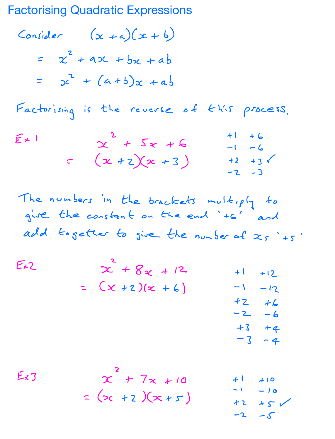**Factorising Quadratic Expressions** 

Consider  $(x + a)(x + b)$ =  $x^2 + 9x + bx + ab$ =  $x^2 + (a+b)x + ab$ 

Factorising is the reverse of this process.

| $E\times 1$ |                      | $+1$ +6              |
|-------------|----------------------|----------------------|
|             | $x + 5x + 6$         | $-1 - 6$             |
|             | $=$ $(x + 2)(x + 3)$ | $+2$ $+3$ $\sqrt{ }$ |
|             |                      | $-2 - 3$             |

The numbers in the brackets multiply to give the constant on the end "+6" and add together to give the number of  $x_{s}$  '+5'

 $Ex2$  $x^{2} + 8x + 12$  $+1$  $+12$ =  $(x + 2)(x + 6)$  $\sim$  1  $-12$  $+2$  $+6$  $-2$  $-6$  $+3$  $+4$  $-3$  $-4$ 

 $x^{2} + 7x + 10$  $Ex3$  $+1$  $410$  $\sim$  1  $-10$ =  $(x + 2)(x + 5)$  $+5$ 十2  $-5$ -2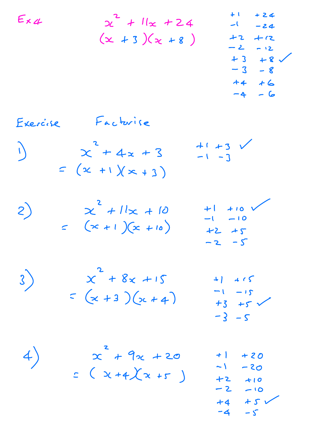$+1$  $+24$  $E_{X4}$  $x^{2} + 1/x + 24$  $-1$  $-24$  $(x + 3)(x + 8)$  $+2$  $+12$  $-2$  $-12$  $+3$  $+8$  $-8$  $-3$  $+4$  $+6$  $-6$  $-4$ Factorise Exercise  $+1+3$  $x^{2}$  + 4x + 3 J  $-1 - 3$  $=$   $(x + 1)(x + 3)$  $x^{2} + 1/x + 10$ <br>=  $(x + 1)(x + 10)$  $+1$  +10  $\left( 2\right)$  $-1 - 10$  $+2 + 5$  $-2 - 5$  $x^{2} + 8x + 15$  $\left( \frac{1}{2} \right)$  $+1415$  $-1 - 15$  $= (x+3)(x+4)$  $+3 + 5$  $-3 - 5$  $x^{2}$  + 9x + 20  $4)$  $+$  |  $+20$  $\sim$  \  $-20$  $= 0 x + 4 x + 5$  $+2$  $+10$  $-2$  $-10$  $+5$  $+4$  $-4$  $-\mathsf{S}$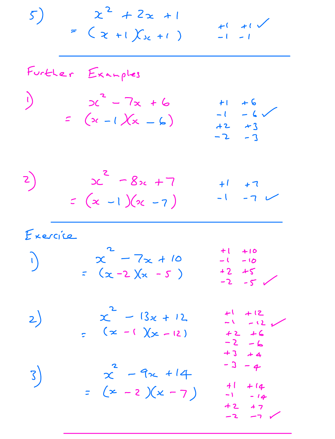$x^{2} + 2x + 1$  $5)$  $+1$   $+1$   $\sqrt$ =  $(x + 1)(x + 1)$  $-1$   $-1$ Further Examples  $2c^{2} - 7x + 6$  $\sqrt{2}$  $+6$  $+1$  $-6$  $-l$  $=$   $(x - 1)(x - 6)$  $+2$   $+3$  $-2 - 3$  $2c^{2}$  - 82c + 7  $\mathsf{z})$  $+1$  +7<br>-1 -7  $\vee$  $=(x-1)(x-7)$ Exercice  $+1$  +10  $x^2 - 7x + 10$  $\mathbf{I}$  $-1 - 10$ =  $(x - 2)(x - 5)$  $+2 + 5$  $-2 - 5$  $x^2 - 13x + 12$  $+1$  +12  $2)$  $-1 - 12$  $=$   $(x - 1)(x - 12)$  $+2 + 6$  $-2 - 6$  $+3 + 4$  $-3 - 4$  $x^2$  - 9x + 14  $3)$  $+$   $\left($  $+14$ =  $(x - 2)(x - 7)$ 

 $-1 - 14$ +2 +7

 $-2 - -7$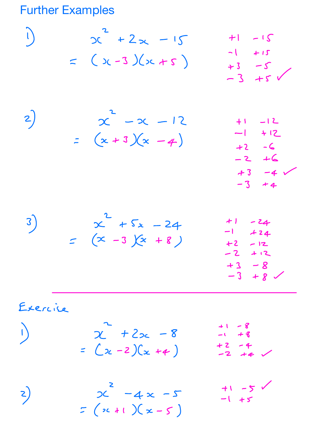**Further Examples** 

$$
2\begin{bmatrix} 2 & 2 & 1 & 1 & -15 \\ 2 & 2 & 3 & 2 & -15 \\ 3 & 3 & -5 & 1 & 1 & -12 \\ 2 & 2 & 2 & -2 & -12 & 1 & -1 & -12 \\ 2 & 2 & 2 & -2 & -12 & 1 & -1 & -12 \\ 2 & 2 & 2 & -2 & -12 & 1 & -1 & -12 \\ 2 & 2 & 2 & -2 & -12 & 1 & -1 & -12 \\ 2 & 2 & 2 & -2 & -12 & 12 & -12 & -12 \\ 2 & 2 & 2 & -12 & -12 & -12 & -12 & -12 \\ 2 & 2 & 2 & -12 & -12 & -12 & -12 & -12 \\ 2 & 2 & 2 & -12 & -12 & -12 & -12 & -12 \\ 2 & 2 & 2 & -12 & -12 & -12 & -12 & -12 \\ 2 & 2 & 2 & -12 & -12 & -12 & -12 & -12 \\ 2 & 2 & 2 & -12 & -12 & -12 & -12 & -12 \\ 2 & 2 & 2 & 2 & -12 & -12 & -12 & -12 \\ 2 & 2 & 2 & 2 & -12 & -12 & -12 & -12 \\ 2 & 2 & 2 & 2 & -12 & -12 & -12 & -12 \\ 2 & 2 & 2 & 2 & -12 & -12 & -12 & -12 \\ 2 & 2 & 2 & 2 & 2 & -12 & -12 & -12 \\ 2 & 2 & 2 & 2 & 2 & -12 & -12 & -12 \\ 2 & 2 & 2 & 2 & 2 & -12 & -12 & -12 & -12 \\ 2 & 2 & 2 & 2 & 2 & -12 & -12 & -12 & -12 \\ 2 & 2 & 2 & 2 & 2 & 2 & -12 & -12 & -12 \\ 2 & 2 & 2 & 2 & 2 & 2 & -12 & -12 & -12 \\ 2 & 2 & 2 & 2 & 2 & 2 & 2 & -12 & -12 & -12 \\ 2 & 2 & 2 & 2 & 2 & 2 & 2 & 2 & -12 & -12 & -12 \\ 2 & 2 & 2 & 2 & 2 & 2 & 2 & 2 & 2 \\ 2 & 2 & 2 & 2
$$

$$
2 + 2x - 8 = 48
$$
  
=  $(x - 2)(x + 4)$  + 2 - 4  
-2 + 4

╱

 $2^2 - 4 \times -5$ <br>=  $(x + 1)(x - 5)$  $+1 - 5$  $\left( \frac{1}{2} \right)$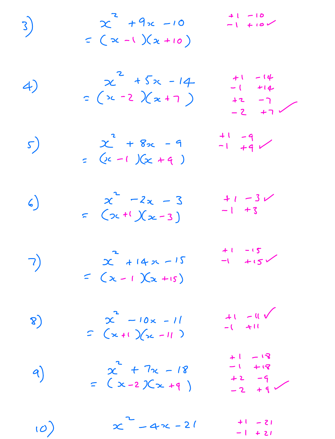$$
x^{2} + 9x - 10
$$
  
=  $(x-1)(x+10)$ 

4) 
$$
x^2 + 5x - 14
$$
  $+1 - 14$   
=  $(x-2)(x+7)$   $+2 -7$   
=  $-2 +7$ 

 $\frac{11}{-1}$   $\frac{-9}{+9}$ 

$$
x^{2} + 8x - 9
$$
  
=  $(x - 1)(x + 9)$ 

 $\overline{3}$ 

 $5)$ 

6) 
$$
x^2 - 2x - 3 + 1 - 3x
$$
  
=  $(x+1)(x-3)$   $-1 + 3$ 

|    |                 | $+1 - 15$  |
|----|-----------------|------------|
| 7) | $x + 14x - 15$  | $-1$ $+15$ |
|    | $= (x-1)(x+15)$ |            |

| $\mathcal{S}$ | $x - 10x - 11$<br>$S(x+1)(x-11)$ | $+1 - 11$<br>$-($ $+11$ |
|---------------|----------------------------------|-------------------------|
|               |                                  |                         |

|    |                   | $+1 - 13$         |
|----|-------------------|-------------------|
|    | $x^{2} + 7x - 18$ | $-1$ + 18         |
| 9) |                   | $+2 - 9$<br>-2 +9 |
|    | = $(x-2)(x+9)$    |                   |

|     | $x - 4x - 21$ | $+1 - 21$ |
|-----|---------------|-----------|
| (0) |               | $-1 + 21$ |